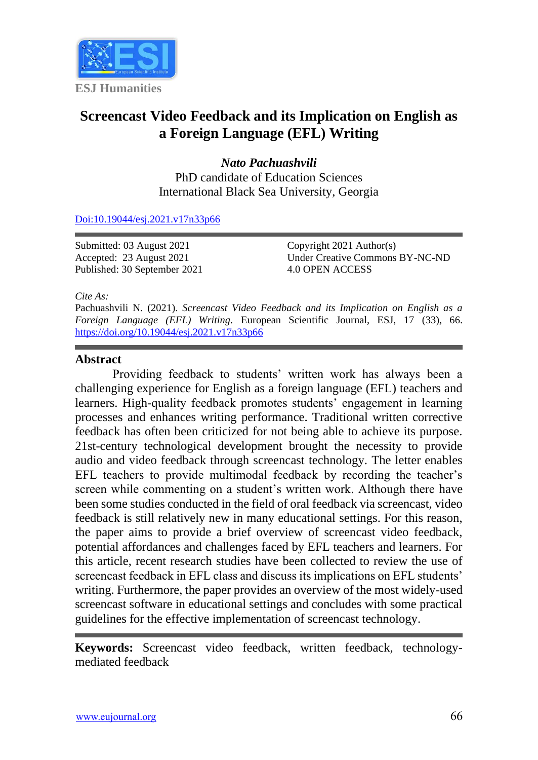

# **Screencast Video Feedback and its Implication on English as a Foreign Language (EFL) Writing**

*Nato Pachuashvili* PhD candidate of Education Sciences International Black Sea University, Georgia

#### [Doi:10.19044/esj.2021.v17n33p66](https://doi.org/10.19044/esj.2021.v17n33p66)

Submitted: 03 August 2021 Accepted: 23 August 2021 Published: 30 September 2021 Copyright 2021 Author(s) Under Creative Commons BY-NC-ND 4.0 OPEN ACCESS

*Cite As:*

Pachuashvili N. (2021). *Screencast Video Feedback and its Implication on English as a Foreign Language (EFL) Writing.* European Scientific Journal, ESJ, 17 (33), 66. <https://doi.org/10.19044/esj.2021.v17n33p66>

#### **Abstract**

Providing feedback to students' written work has always been a challenging experience for English as a foreign language (EFL) teachers and learners. High-quality feedback promotes students' engagement in learning processes and enhances writing performance. Traditional written corrective feedback has often been criticized for not being able to achieve its purpose. 21st-century technological development brought the necessity to provide audio and video feedback through screencast technology. The letter enables EFL teachers to provide multimodal feedback by recording the teacher's screen while commenting on a student's written work. Although there have been some studies conducted in the field of oral feedback via screencast, video feedback is still relatively new in many educational settings. For this reason, the paper aims to provide a brief overview of screencast video feedback, potential affordances and challenges faced by EFL teachers and learners. For this article, recent research studies have been collected to review the use of screencast feedback in EFL class and discuss its implications on EFL students' writing. Furthermore, the paper provides an overview of the most widely-used screencast software in educational settings and concludes with some practical guidelines for the effective implementation of screencast technology.

**Keywords:** Screencast video feedback, written feedback, technologymediated feedback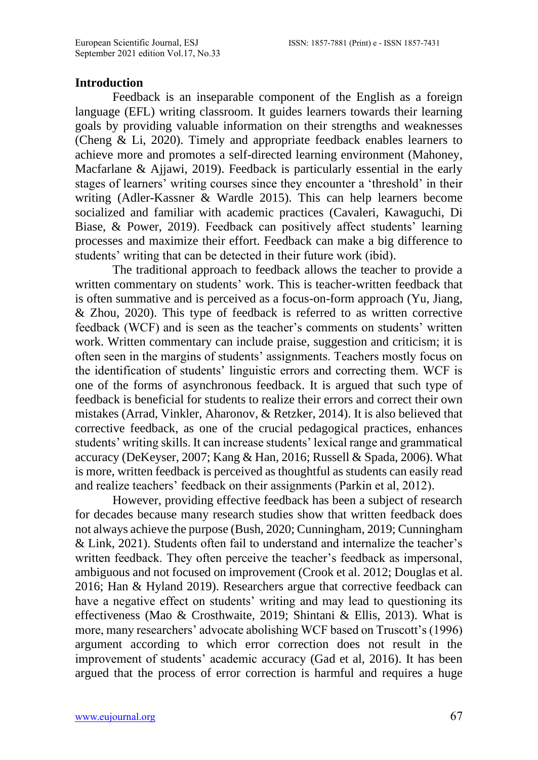### **Introduction**

Feedback is an inseparable component of the English as a foreign language (EFL) writing classroom. It guides learners towards their learning goals by providing valuable information on their strengths and weaknesses (Cheng & Li, 2020). Timely and appropriate feedback enables learners to achieve more and promotes a self-directed learning environment (Mahoney, Macfarlane & Ajjawi, 2019). Feedback is particularly essential in the early stages of learners' writing courses since they encounter a 'threshold' in their writing (Adler-Kassner & Wardle 2015). This can help learners become socialized and familiar with academic practices (Cavaleri, Kawaguchi, Di Biase, & Power, 2019). Feedback can positively affect students' learning processes and maximize their effort. Feedback can make a big difference to students' writing that can be detected in their future work (ibid).

The traditional approach to feedback allows the teacher to provide a written commentary on students' work. This is teacher-written feedback that is often summative and is perceived as a focus-on-form approach (Yu, Jiang, & Zhou, 2020). This type of feedback is referred to as written corrective feedback (WCF) and is seen as the teacher's comments on students' written work. Written commentary can include praise, suggestion and criticism; it is often seen in the margins of students' assignments. Teachers mostly focus on the identification of students' linguistic errors and correcting them. WCF is one of the forms of asynchronous feedback. It is argued that such type of feedback is beneficial for students to realize their errors and correct their own mistakes (Arrad, Vinkler, Aharonov, & Retzker, 2014). It is also believed that corrective feedback, as one of the crucial pedagogical practices, enhances students' writing skills. It can increase students' lexical range and grammatical accuracy (DeKeyser, 2007; Kang & Han, 2016; Russell & Spada, 2006). What is more, written feedback is perceived as thoughtful as students can easily read and realize teachers' feedback on their assignments (Parkin et al, 2012).

However, providing effective feedback has been a subject of research for decades because many research studies show that written feedback does not always achieve the purpose (Bush, 2020; Cunningham, 2019; Cunningham & Link, 2021). Students often fail to understand and internalize the teacher's written feedback. They often perceive the teacher's feedback as impersonal, ambiguous and not focused on improvement (Crook et al. 2012; Douglas et al. 2016; Han & Hyland 2019). Researchers argue that corrective feedback can have a negative effect on students' writing and may lead to questioning its effectiveness (Mao & Crosthwaite, 2019; Shintani & Ellis, 2013). What is more, many researchers' advocate abolishing WCF based on Truscott's (1996) argument according to which error correction does not result in the improvement of students' academic accuracy (Gad et al, 2016). It has been argued that the process of error correction is harmful and requires a huge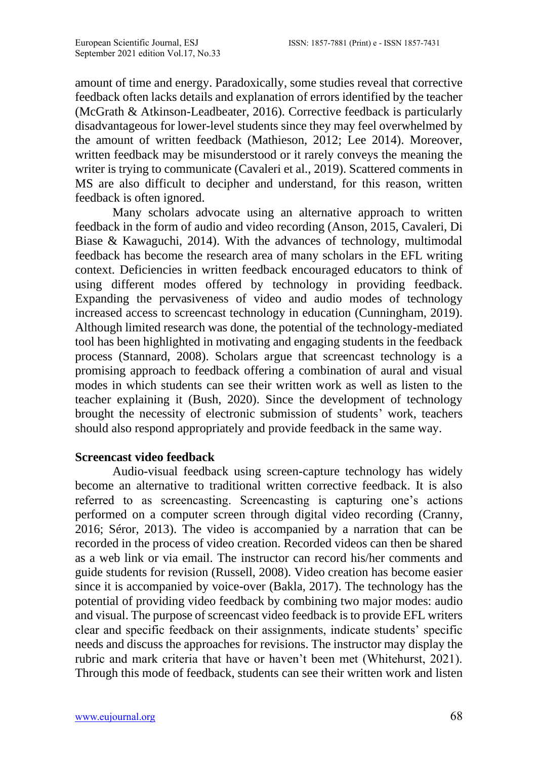amount of time and energy. Paradoxically, some studies reveal that corrective feedback often lacks details and explanation of errors identified by the teacher (McGrath & Atkinson-Leadbeater, 2016). Corrective feedback is particularly disadvantageous for lower-level students since they may feel overwhelmed by the amount of written feedback (Mathieson, 2012; Lee 2014). Moreover, written feedback may be misunderstood or it rarely conveys the meaning the writer is trying to communicate (Cavaleri et al., 2019). Scattered comments in MS are also difficult to decipher and understand, for this reason, written feedback is often ignored.

Many scholars advocate using an alternative approach to written feedback in the form of audio and video recording (Anson, 2015, Cavaleri, Di Biase & Kawaguchi, 2014). With the advances of technology, multimodal feedback has become the research area of many scholars in the EFL writing context. Deficiencies in written feedback encouraged educators to think of using different modes offered by technology in providing feedback. Expanding the pervasiveness of video and audio modes of technology increased access to screencast technology in education (Cunningham, 2019). Although limited research was done, the potential of the technology-mediated tool has been highlighted in motivating and engaging students in the feedback process (Stannard, 2008). Scholars argue that screencast technology is a promising approach to feedback offering a combination of aural and visual modes in which students can see their written work as well as listen to the teacher explaining it (Bush, 2020). Since the development of technology brought the necessity of electronic submission of students' work, teachers should also respond appropriately and provide feedback in the same way.

#### **Screencast video feedback**

Audio-visual feedback using screen-capture technology has widely become an alternative to traditional written corrective feedback. It is also referred to as screencasting. Screencasting is capturing one's actions performed on a computer screen through digital video recording (Cranny, 2016; Séror, 2013). The video is accompanied by a narration that can be recorded in the process of video creation. Recorded videos can then be shared as a web link or via email. The instructor can record his/her comments and guide students for revision (Russell, 2008). Video creation has become easier since it is accompanied by voice-over (Bakla, 2017). The technology has the potential of providing video feedback by combining two major modes: audio and visual. The purpose of screencast video feedback is to provide EFL writers clear and specific feedback on their assignments, indicate students' specific needs and discuss the approaches for revisions. The instructor may display the rubric and mark criteria that have or haven't been met (Whitehurst, 2021). Through this mode of feedback, students can see their written work and listen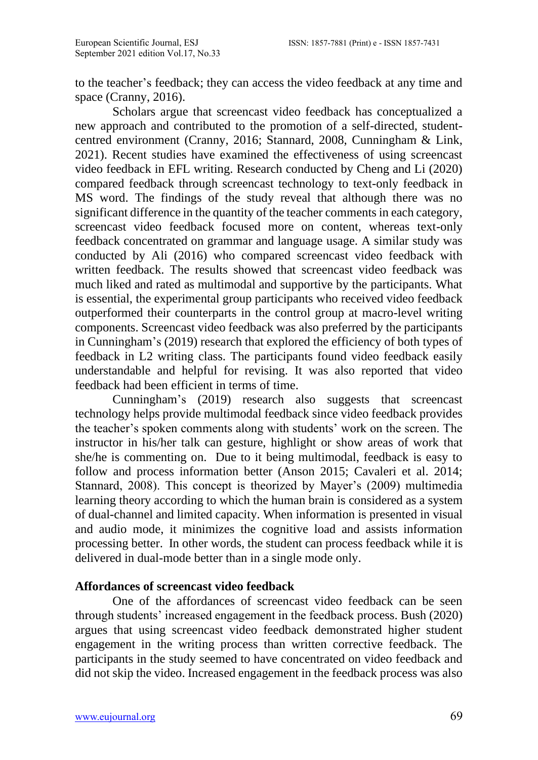to the teacher's feedback; they can access the video feedback at any time and space (Cranny, 2016).

Scholars argue that screencast video feedback has conceptualized a new approach and contributed to the promotion of a self-directed, studentcentred environment (Cranny, 2016; Stannard, 2008, Cunningham & Link, 2021). Recent studies have examined the effectiveness of using screencast video feedback in EFL writing. Research conducted by Cheng and Li (2020) compared feedback through screencast technology to text-only feedback in MS word. The findings of the study reveal that although there was no significant difference in the quantity of the teacher comments in each category, screencast video feedback focused more on content, whereas text-only feedback concentrated on grammar and language usage. A similar study was conducted by Ali (2016) who compared screencast video feedback with written feedback. The results showed that screencast video feedback was much liked and rated as multimodal and supportive by the participants. What is essential, the experimental group participants who received video feedback outperformed their counterparts in the control group at macro-level writing components. Screencast video feedback was also preferred by the participants in Cunningham's (2019) research that explored the efficiency of both types of feedback in L2 writing class. The participants found video feedback easily understandable and helpful for revising. It was also reported that video feedback had been efficient in terms of time.

Cunningham's (2019) research also suggests that screencast technology helps provide multimodal feedback since video feedback provides the teacher's spoken comments along with students' work on the screen. The instructor in his/her talk can gesture, highlight or show areas of work that she/he is commenting on. Due to it being multimodal, feedback is easy to follow and process information better (Anson 2015; Cavaleri et al. 2014; Stannard, 2008). This concept is theorized by Mayer's (2009) multimedia learning theory according to which the human brain is considered as a system of dual-channel and limited capacity. When information is presented in visual and audio mode, it minimizes the cognitive load and assists information processing better. In other words, the student can process feedback while it is delivered in dual-mode better than in a single mode only.

#### **Affordances of screencast video feedback**

One of the affordances of screencast video feedback can be seen through students' increased engagement in the feedback process. Bush (2020) argues that using screencast video feedback demonstrated higher student engagement in the writing process than written corrective feedback. The participants in the study seemed to have concentrated on video feedback and did not skip the video. Increased engagement in the feedback process was also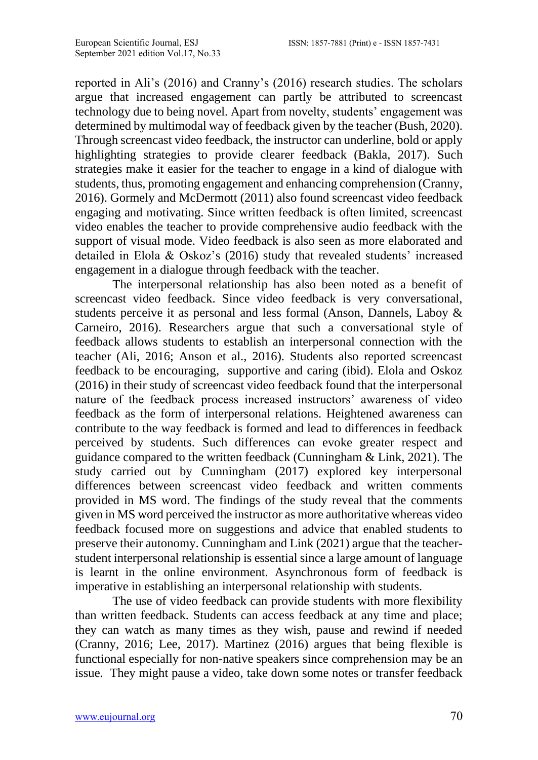reported in Ali's (2016) and Cranny's (2016) research studies. The scholars argue that increased engagement can partly be attributed to screencast technology due to being novel. Apart from novelty, students' engagement was determined by multimodal way of feedback given by the teacher (Bush, 2020). Through screencast video feedback, the instructor can underline, bold or apply highlighting strategies to provide clearer feedback (Bakla, 2017). Such strategies make it easier for the teacher to engage in a kind of dialogue with students, thus, promoting engagement and enhancing comprehension (Cranny, 2016). Gormely and McDermott (2011) also found screencast video feedback engaging and motivating. Since written feedback is often limited, screencast video enables the teacher to provide comprehensive audio feedback with the support of visual mode. Video feedback is also seen as more elaborated and detailed in Elola & Oskoz's (2016) study that revealed students' increased engagement in a dialogue through feedback with the teacher.

The interpersonal relationship has also been noted as a benefit of screencast video feedback. Since video feedback is very conversational, students perceive it as personal and less formal (Anson, Dannels, Laboy & Carneiro, 2016). Researchers argue that such a conversational style of feedback allows students to establish an interpersonal connection with the teacher (Ali, 2016; Anson et al., 2016). Students also reported screencast feedback to be encouraging, supportive and caring (ibid). Elola and Oskoz (2016) in their study of screencast video feedback found that the interpersonal nature of the feedback process increased instructors' awareness of video feedback as the form of interpersonal relations. Heightened awareness can contribute to the way feedback is formed and lead to differences in feedback perceived by students. Such differences can evoke greater respect and guidance compared to the written feedback (Cunningham & Link, 2021). The study carried out by Cunningham (2017) explored key interpersonal differences between screencast video feedback and written comments provided in MS word. The findings of the study reveal that the comments given in MS word perceived the instructor as more authoritative whereas video feedback focused more on suggestions and advice that enabled students to preserve their autonomy. Cunningham and Link (2021) argue that the teacherstudent interpersonal relationship is essential since a large amount of language is learnt in the online environment. Asynchronous form of feedback is imperative in establishing an interpersonal relationship with students.

The use of video feedback can provide students with more flexibility than written feedback. Students can access feedback at any time and place; they can watch as many times as they wish, pause and rewind if needed (Cranny, 2016; Lee, 2017). Martinez (2016) argues that being flexible is functional especially for non-native speakers since comprehension may be an issue. They might pause a video, take down some notes or transfer feedback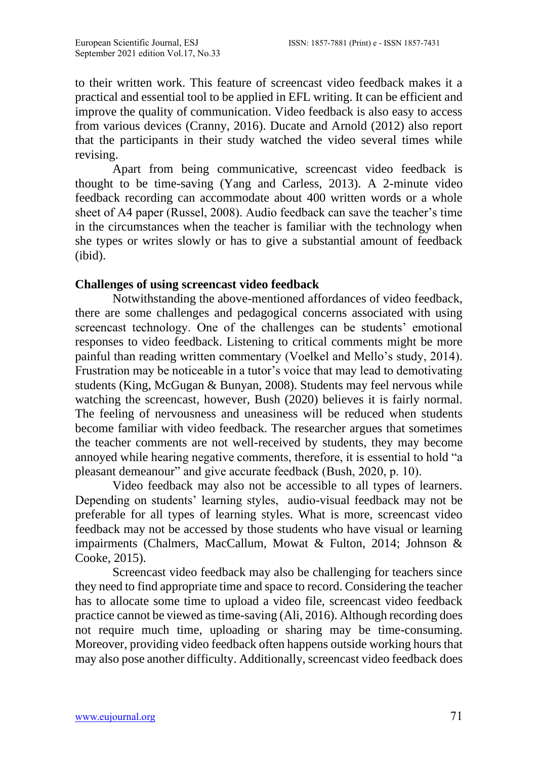to their written work. This feature of screencast video feedback makes it a practical and essential tool to be applied in EFL writing. It can be efficient and improve the quality of communication. Video feedback is also easy to access from various devices (Cranny, 2016). Ducate and Arnold (2012) also report that the participants in their study watched the video several times while revising.

Apart from being communicative, screencast video feedback is thought to be time-saving (Yang and Carless, 2013). A 2-minute video feedback recording can accommodate about 400 written words or a whole sheet of A4 paper (Russel, 2008). Audio feedback can save the teacher's time in the circumstances when the teacher is familiar with the technology when she types or writes slowly or has to give a substantial amount of feedback (ibid).

## **Challenges of using screencast video feedback**

Notwithstanding the above-mentioned affordances of video feedback, there are some challenges and pedagogical concerns associated with using screencast technology. One of the challenges can be students' emotional responses to video feedback. Listening to critical comments might be more painful than reading written commentary (Voelkel and Mello's study, 2014). Frustration may be noticeable in a tutor's voice that may lead to demotivating students (King, McGugan & Bunyan, 2008). Students may feel nervous while watching the screencast, however, Bush (2020) believes it is fairly normal. The feeling of nervousness and uneasiness will be reduced when students become familiar with video feedback. The researcher argues that sometimes the teacher comments are not well-received by students, they may become annoyed while hearing negative comments, therefore, it is essential to hold "a pleasant demeanour" and give accurate feedback (Bush, 2020, p. 10).

Video feedback may also not be accessible to all types of learners. Depending on students' learning styles, audio-visual feedback may not be preferable for all types of learning styles. What is more, screencast video feedback may not be accessed by those students who have visual or learning impairments (Chalmers, MacCallum, Mowat & Fulton, 2014; Johnson & Cooke, 2015).

Screencast video feedback may also be challenging for teachers since they need to find appropriate time and space to record. Considering the teacher has to allocate some time to upload a video file, screencast video feedback practice cannot be viewed as time-saving (Ali, 2016). Although recording does not require much time, uploading or sharing may be time-consuming. Moreover, providing video feedback often happens outside working hours that may also pose another difficulty. Additionally, screencast video feedback does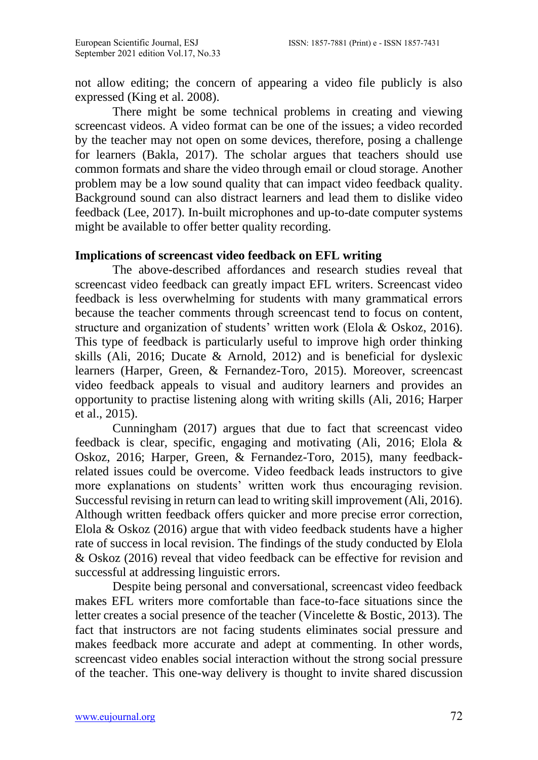not allow editing; the concern of appearing a video file publicly is also expressed (King et al. 2008).

There might be some technical problems in creating and viewing screencast videos. A video format can be one of the issues; a video recorded by the teacher may not open on some devices, therefore, posing a challenge for learners (Bakla, 2017). The scholar argues that teachers should use common formats and share the video through email or cloud storage. Another problem may be a low sound quality that can impact video feedback quality. Background sound can also distract learners and lead them to dislike video feedback (Lee, 2017). In-built microphones and up-to-date computer systems might be available to offer better quality recording.

## **Implications of screencast video feedback on EFL writing**

The above-described affordances and research studies reveal that screencast video feedback can greatly impact EFL writers. Screencast video feedback is less overwhelming for students with many grammatical errors because the teacher comments through screencast tend to focus on content, structure and organization of students' written work (Elola & Oskoz, 2016). This type of feedback is particularly useful to improve high order thinking skills (Ali, 2016; Ducate & Arnold, 2012) and is beneficial for dyslexic learners (Harper, Green, & Fernandez-Toro, 2015). Moreover, screencast video feedback appeals to visual and auditory learners and provides an opportunity to practise listening along with writing skills (Ali, 2016; Harper et al., 2015).

Cunningham (2017) argues that due to fact that screencast video feedback is clear, specific, engaging and motivating (Ali, 2016; Elola & Oskoz, 2016; Harper, Green, & Fernandez-Toro, 2015), many feedbackrelated issues could be overcome. Video feedback leads instructors to give more explanations on students' written work thus encouraging revision. Successful revising in return can lead to writing skill improvement (Ali, 2016). Although written feedback offers quicker and more precise error correction, Elola & Oskoz (2016) argue that with video feedback students have a higher rate of success in local revision. The findings of the study conducted by Elola & Oskoz (2016) reveal that video feedback can be effective for revision and successful at addressing linguistic errors.

Despite being personal and conversational, screencast video feedback makes EFL writers more comfortable than face-to-face situations since the letter creates a social presence of the teacher (Vincelette & Bostic, 2013). The fact that instructors are not facing students eliminates social pressure and makes feedback more accurate and adept at commenting. In other words, screencast video enables social interaction without the strong social pressure of the teacher. This one-way delivery is thought to invite shared discussion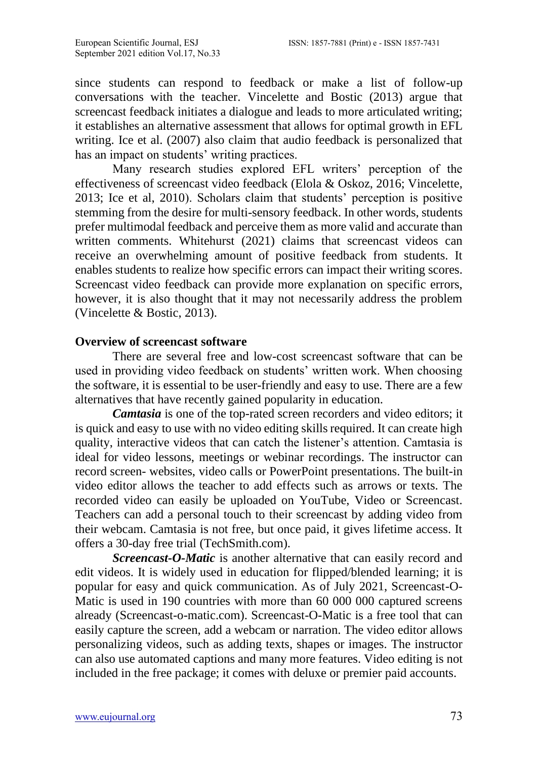since students can respond to feedback or make a list of follow-up conversations with the teacher. Vincelette and Bostic (2013) argue that screencast feedback initiates a dialogue and leads to more articulated writing; it establishes an alternative assessment that allows for optimal growth in EFL writing. Ice et al. (2007) also claim that audio feedback is personalized that has an impact on students' writing practices.

Many research studies explored EFL writers' perception of the effectiveness of screencast video feedback (Elola & Oskoz, 2016; Vincelette, 2013; Ice et al, 2010). Scholars claim that students' perception is positive stemming from the desire for multi-sensory feedback. In other words, students prefer multimodal feedback and perceive them as more valid and accurate than written comments. Whitehurst (2021) claims that screencast videos can receive an overwhelming amount of positive feedback from students. It enables students to realize how specific errors can impact their writing scores. Screencast video feedback can provide more explanation on specific errors, however, it is also thought that it may not necessarily address the problem (Vincelette & Bostic, 2013).

### **Overview of screencast software**

There are several free and low-cost screencast software that can be used in providing video feedback on students' written work. When choosing the software, it is essential to be user-friendly and easy to use. There are a few alternatives that have recently gained popularity in education.

*Camtasia* is one of the top-rated screen recorders and video editors; it is quick and easy to use with no video editing skills required. It can create high quality, interactive videos that can catch the listener's attention. Camtasia is ideal for video lessons, meetings or webinar recordings. The instructor can record screen- websites, video calls or PowerPoint presentations. The built-in video editor allows the teacher to add effects such as arrows or texts. The recorded video can easily be uploaded on YouTube, Video or Screencast. Teachers can add a personal touch to their screencast by adding video from their webcam. Camtasia is not free, but once paid, it gives lifetime access. It offers a 30-day free trial (TechSmith.com).

*Screencast-O-Matic* is another alternative that can easily record and edit videos. It is widely used in education for flipped/blended learning; it is popular for easy and quick communication. As of July 2021, Screencast-O-Matic is used in 190 countries with more than 60 000 000 captured screens already (Screencast-o-matic.com). Screencast-O-Matic is a free tool that can easily capture the screen, add a webcam or narration. The video editor allows personalizing videos, such as adding texts, shapes or images. The instructor can also use automated captions and many more features. Video editing is not included in the free package; it comes with deluxe or premier paid accounts.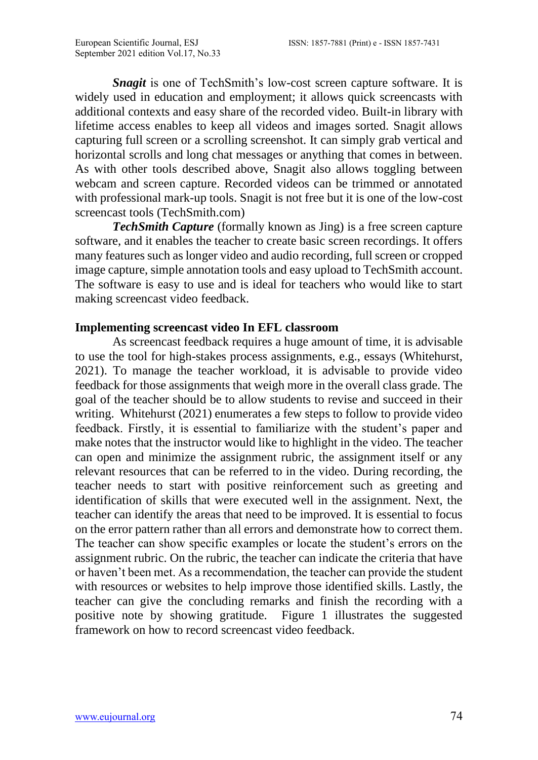*Snagit* is one of TechSmith's low-cost screen capture software. It is widely used in education and employment; it allows quick screencasts with additional contexts and easy share of the recorded video. Built-in library with lifetime access enables to keep all videos and images sorted. Snagit allows capturing full screen or a scrolling screenshot. It can simply grab vertical and horizontal scrolls and long chat messages or anything that comes in between. As with other tools described above, Snagit also allows toggling between webcam and screen capture. Recorded videos can be trimmed or annotated with professional mark-up tools. Snagit is not free but it is one of the low-cost screencast tools (TechSmith.com)

*TechSmith Capture* (formally known as Jing) is a free screen capture software, and it enables the teacher to create basic screen recordings. It offers many features such as longer video and audio recording, full screen or cropped image capture, simple annotation tools and easy upload to TechSmith account. The software is easy to use and is ideal for teachers who would like to start making screencast video feedback.

## **Implementing screencast video In EFL classroom**

As screencast feedback requires a huge amount of time, it is advisable to use the tool for high-stakes process assignments, e.g., essays (Whitehurst, 2021). To manage the teacher workload, it is advisable to provide video feedback for those assignments that weigh more in the overall class grade. The goal of the teacher should be to allow students to revise and succeed in their writing. Whitehurst (2021) enumerates a few steps to follow to provide video feedback. Firstly, it is essential to familiarize with the student's paper and make notes that the instructor would like to highlight in the video. The teacher can open and minimize the assignment rubric, the assignment itself or any relevant resources that can be referred to in the video. During recording, the teacher needs to start with positive reinforcement such as greeting and identification of skills that were executed well in the assignment. Next, the teacher can identify the areas that need to be improved. It is essential to focus on the error pattern rather than all errors and demonstrate how to correct them. The teacher can show specific examples or locate the student's errors on the assignment rubric. On the rubric, the teacher can indicate the criteria that have or haven't been met. As a recommendation, the teacher can provide the student with resources or websites to help improve those identified skills. Lastly, the teacher can give the concluding remarks and finish the recording with a positive note by showing gratitude. Figure 1 illustrates the suggested framework on how to record screencast video feedback.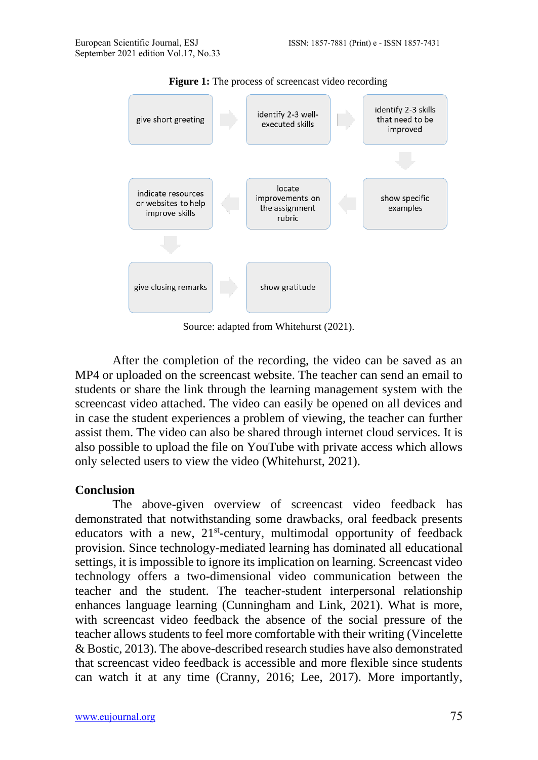

**Figure 1:** The process of screencast video recording

Source: adapted from Whitehurst (2021).

After the completion of the recording, the video can be saved as an MP4 or uploaded on the screencast website. The teacher can send an email to students or share the link through the learning management system with the screencast video attached. The video can easily be opened on all devices and in case the student experiences a problem of viewing, the teacher can further assist them. The video can also be shared through internet cloud services. It is also possible to upload the file on YouTube with private access which allows only selected users to view the video (Whitehurst, 2021).

#### **Conclusion**

The above-given overview of screencast video feedback has demonstrated that notwithstanding some drawbacks, oral feedback presents educators with a new, 21<sup>st</sup>-century, multimodal opportunity of feedback provision. Since technology-mediated learning has dominated all educational settings, it is impossible to ignore its implication on learning. Screencast video technology offers a two-dimensional video communication between the teacher and the student. The teacher-student interpersonal relationship enhances language learning (Cunningham and Link, 2021). What is more, with screencast video feedback the absence of the social pressure of the teacher allows students to feel more comfortable with their writing (Vincelette & Bostic, 2013). The above-described research studies have also demonstrated that screencast video feedback is accessible and more flexible since students can watch it at any time (Cranny, 2016; Lee, 2017). More importantly,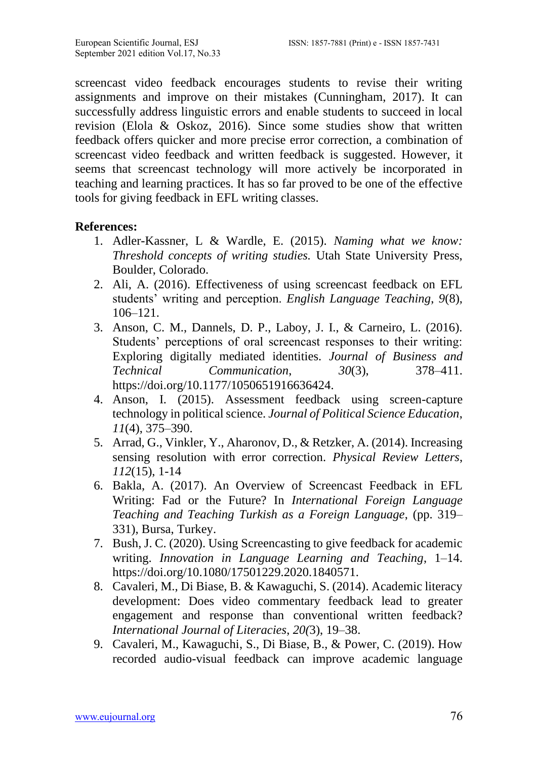screencast video feedback encourages students to revise their writing assignments and improve on their mistakes (Cunningham, 2017). It can successfully address linguistic errors and enable students to succeed in local revision (Elola & Oskoz, 2016). Since some studies show that written feedback offers quicker and more precise error correction, a combination of screencast video feedback and written feedback is suggested. However, it seems that screencast technology will more actively be incorporated in teaching and learning practices. It has so far proved to be one of the effective tools for giving feedback in EFL writing classes.

### **References:**

- 1. Adler-Kassner, L & Wardle, E. (2015). *Naming what we know: Threshold concepts of writing studies.* Utah State University Press, Boulder, Colorado.
- 2. Ali, A. (2016). Effectiveness of using screencast feedback on EFL students' writing and perception. *English Language Teaching*, *9*(8), 106–121.
- 3. Anson, C. M., Dannels, D. P., Laboy, J. I., & Carneiro, L. (2016). Students' perceptions of oral screencast responses to their writing: Exploring digitally mediated identities. *Journal of Business and Technical Communication*, *30*(3), 378–411. [https://doi.org/10.1177/1050651916636424.](https://doi.org/10.1177/1050651916636424)
- 4. Anson, I. (2015). Assessment feedback using screen-capture technology in political science. *Journal of Political Science Education*, *11*(4), 375–390.
- 5. Arrad, G., Vinkler, Y., Aharonov, D., & Retzker, A. (2014). Increasing sensing resolution with error correction. *Physical Review Letters*, *112*(15), 1-14
- 6. Bakla, A. (2017). An Overview of Screencast Feedback in EFL Writing: Fad or the Future? In *International Foreign Language Teaching and Teaching Turkish as a Foreign Language*, (pp. 319– 331), Bursa, Turkey.
- 7. Bush, J. C. (2020). Using Screencasting to give feedback for academic writing. *Innovation in Language Learning and Teaching*, 1–14. https://doi.org/10.1080/17501229.2020.1840571.
- 8. Cavaleri, M., Di Biase, B. & Kawaguchi, S. (2014). Academic literacy development: Does video commentary feedback lead to greater engagement and response than conventional written feedback? *International Journal of Literacies*, *20(*3), 19–38.
- 9. Cavaleri, M., Kawaguchi, S., Di Biase, B., & Power, C. (2019). How recorded audio-visual feedback can improve academic language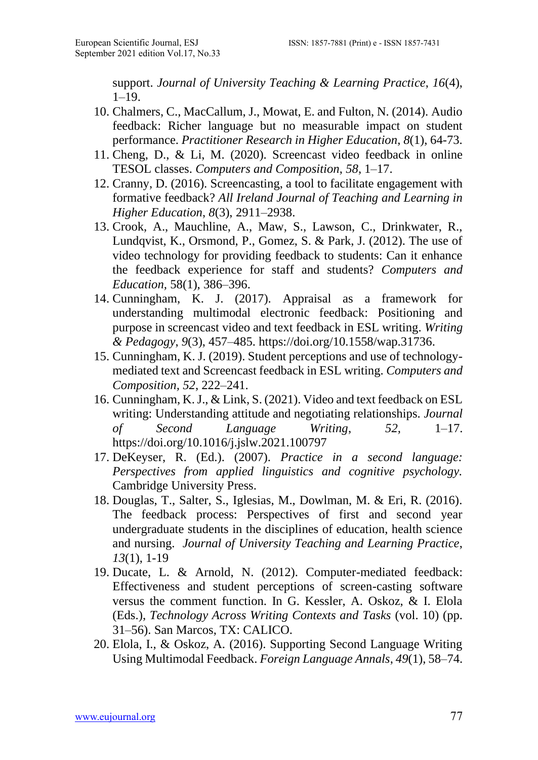support. *Journal of University Teaching & Learning Practice*, *16*(4),  $1 - 19$ 

- 10. Chalmers, C., MacCallum, J., Mowat, E. and Fulton, N. (2014). Audio feedback: Richer language but no measurable impact on student performance. *Practitioner Research in Higher Education*, *8*(1), 64-73.
- 11. Cheng, D., & Li, M. (2020). Screencast video feedback in online TESOL classes. *Computers and Composition*, *58*, 1–17.
- 12. Cranny, D. (2016). Screencasting, a tool to facilitate engagement with formative feedback? *All Ireland Journal of Teaching and Learning in Higher Education*, *8*(3), 2911–2938.
- 13. Crook, A., Mauchline, A., Maw, S., Lawson, C., Drinkwater, R., Lundqvist, K., Orsmond, P., Gomez, S. & Park, J. (2012). The use of video technology for providing feedback to students: Can it enhance the feedback experience for staff and students? *Computers and Education,* 58(1), 386–396.
- 14. Cunningham, K. J. (2017). Appraisal as a framework for understanding multimodal electronic feedback: Positioning and purpose in screencast video and text feedback in ESL writing. *Writing & Pedagogy*, *9*(3), 457–485. [https://doi.org/10.1558/wap.31736.](https://doi.org/10.1558/wap.31736)
- 15. Cunningham, K. J. (2019). Student perceptions and use of technologymediated text and Screencast feedback in ESL writing. *Computers and Composition, 52*, 222–241.
- 16. Cunningham, K. J., & Link, S. (2021). Video and text feedback on ESL writing: Understanding attitude and negotiating relationships. *Journal of Second Language Writing*, *52,* 1–17. https://doi.org/10.1016/j.jslw.2021.100797
- 17. DeKeyser, R. (Ed.). (2007). *Practice in a second language: Perspectives from applied linguistics and cognitive psychology.* Cambridge University Press.
- 18. Douglas, T., Salter, S., Iglesias, M., Dowlman, M. & Eri, R. (2016). The feedback process: Perspectives of first and second year undergraduate students in the disciplines of education, health science and nursing. *Journal of University Teaching and Learning Practice*, *13*(1), 1-19
- 19. Ducate, L. & Arnold, N. (2012). Computer-mediated feedback: Effectiveness and student perceptions of screen-casting software versus the comment function. In G. Kessler, A. Oskoz, & I. Elola (Eds.), *Technology Across Writing Contexts and Tasks* (vol. 10) (pp. 31–56). San Marcos, TX: CALICO.
- 20. Elola, I., & Oskoz, A. (2016). Supporting Second Language Writing Using Multimodal Feedback. *Foreign Language Annals*, *49*(1), 58–74.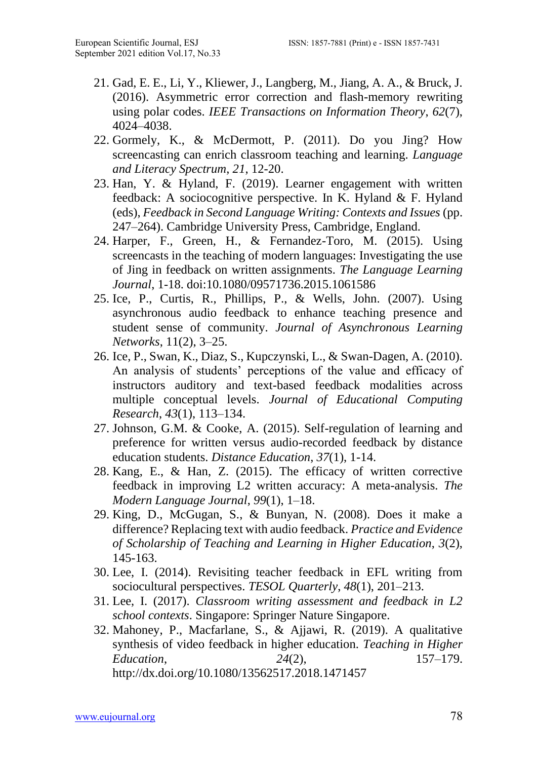- 21. Gad, E. E., Li, Y., Kliewer, J., Langberg, M., Jiang, A. A., & Bruck, J. (2016). Asymmetric error correction and flash-memory rewriting using polar codes. *IEEE Transactions on Information Theory*, *62*(7), 4024–4038.
- 22. Gormely, K., & McDermott, P. (2011). Do you Jing? How screencasting can enrich classroom teaching and learning. *Language and Literacy Spectrum*, *21*, 12-20.
- 23. Han, Y. & Hyland, F. (2019). Learner engagement with written feedback: A sociocognitive perspective. In K. Hyland & F. Hyland (eds), *Feedback in Second Language Writing: Contexts and Issues* (pp. 247–264). Cambridge University Press, Cambridge, England.
- 24. Harper, F., Green, H., & Fernandez-Toro, M. (2015). Using screencasts in the teaching of modern languages: Investigating the use of Jing in feedback on written assignments. *The Language Learning Journal*, 1-18. doi:10.1080/09571736.2015.1061586
- 25. Ice, P., Curtis, R., Phillips, P., & Wells, John. (2007). Using asynchronous audio feedback to enhance teaching presence and student sense of community. *Journal of Asynchronous Learning Networks*, 11(2), 3–25.
- 26. Ice, P., Swan, K., Diaz, S., Kupczynski, L., & Swan-Dagen, A. (2010). An analysis of students' perceptions of the value and efficacy of instructors auditory and text-based feedback modalities across multiple conceptual levels. *Journal of Educational Computing Research*, *43*(1), 113–134.
- 27. Johnson, G.M. & Cooke, A. (2015). Self-regulation of learning and preference for written versus audio-recorded feedback by distance education students. *Distance Education*, *37*(1), 1-14.
- 28. Kang, E., & Han, Z. (2015). The efficacy of written corrective feedback in improving L2 written accuracy: A meta-analysis. *The Modern Language Journal*, *99*(1), 1–18.
- 29. King, D., McGugan, S., & Bunyan, N. (2008). Does it make a difference? Replacing text with audio feedback. *Practice and Evidence of Scholarship of Teaching and Learning in Higher Education*, *3*(2), 145-163.
- 30. Lee, I. (2014). Revisiting teacher feedback in EFL writing from sociocultural perspectives. *TESOL Quarterly*, *48*(1), 201–213.
- 31. Lee, I. (2017). *Classroom writing assessment and feedback in L2 school contexts*. Singapore: Springer Nature Singapore.
- 32. Mahoney, P., Macfarlane, S., & Ajjawi, R. (2019). A qualitative synthesis of video feedback in higher education. *Teaching in Higher Education*, *24*(2), 157–179. <http://dx.doi.org/10.1080/13562517.2018.1471457>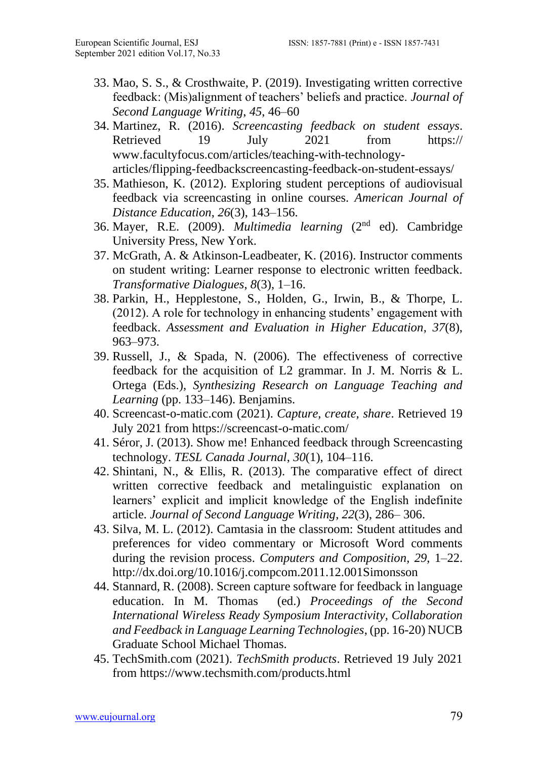- 33. Mao, S. S., & Crosthwaite, P. (2019). Investigating written corrective feedback: (Mis)alignment of teachers' beliefs and practice. *Journal of Second Language Writing*, *45*, 46–60
- 34. Martinez, R. (2016). *Screencasting feedback on student essays*. Retrieved 19 July 2021 from https:// [www.facultyfocus.com/articles/teaching-with-technology](http://www.facultyfocus.com/articles/teaching-with-technology-articles/flipping-feedbackscreencasting-feedback-on-student-essays/)[articles/flipping-feedbackscreencasting-feedback-on-student-essays/](http://www.facultyfocus.com/articles/teaching-with-technology-articles/flipping-feedbackscreencasting-feedback-on-student-essays/)
- 35. Mathieson, K. (2012). Exploring student perceptions of audiovisual feedback via screencasting in online courses. *American Journal of Distance Education*, *26*(3), 143–156.
- 36. Mayer, R.E. (2009). *Multimedia learning* (2nd ed). Cambridge University Press, New York.
- 37. McGrath, A. & Atkinson-Leadbeater, K. (2016). Instructor comments on student writing: Learner response to electronic written feedback. *Transformative Dialogues*, *8*(3), 1–16.
- 38. Parkin, H., Hepplestone, S., Holden, G., Irwin, B., & Thorpe, L. (2012). A role for technology in enhancing students' engagement with feedback. *Assessment and Evaluation in Higher Education*, *37*(8), 963–973.
- 39. Russell, J., & Spada, N. (2006). The effectiveness of corrective feedback for the acquisition of L2 grammar. In J. M. Norris & L. Ortega (Eds.), *Synthesizing Research on Language Teaching and Learning* (pp. 133–146). Benjamins.
- 40. Screencast-o-matic.com (2021). *Capture, create, share*. Retrieved 19 July 2021 from<https://screencast-o-matic.com/>
- 41. Séror, J. (2013). Show me! Enhanced feedback through Screencasting technology. *TESL Canada Journal*, *30*(1), 104–116.
- 42. Shintani, N., & Ellis, R. (2013). The comparative effect of direct written corrective feedback and metalinguistic explanation on learners' explicit and implicit knowledge of the English indefinite article. *Journal of Second Language Writing*, *22*(3), 286– 306.
- 43. Silva, M. L. (2012). Camtasia in the classroom: Student attitudes and preferences for video commentary or Microsoft Word comments during the revision process. *Computers and Composition*, *29*, 1–22. <http://dx.doi.org/10.1016/j.compcom.2011.12.001Simonsson>
- 44. Stannard, R. (2008). Screen capture software for feedback in language education. In M. Thomas (ed.) *Proceedings of the Second International Wireless Ready Symposium Interactivity, Collaboration and Feedback in Language Learning Technologies*, (pp. 16-20) NUCB Graduate School Michael Thomas.
- 45. TechSmith.com (2021). *TechSmith products*. Retrieved 19 July 2021 from<https://www.techsmith.com/products.html>